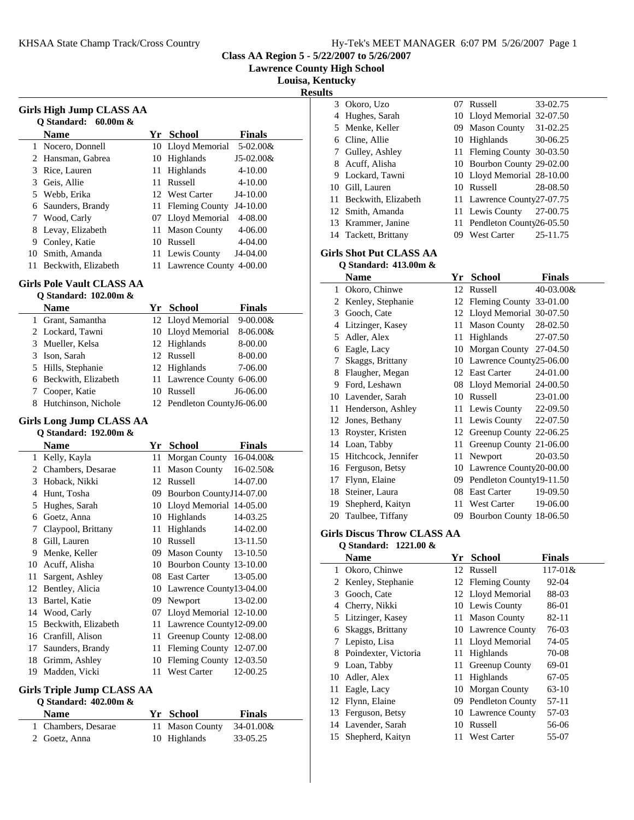**Class AA Region 5 - 5/22/2007 to 5/26/2007**

**Lawrence County High School**

**Louisa, Kentucky**

**Results**

| Girls High Jump CLASS AA<br>O Standard: $60.00m \&$ |                     |     |                            |               |  |  |  |
|-----------------------------------------------------|---------------------|-----|----------------------------|---------------|--|--|--|
|                                                     | <b>Name</b>         | Yr  | <b>School</b>              | <b>Finals</b> |  |  |  |
| 1                                                   | Nocero, Donnell     |     | 10 Lloyd Memorial          | $5-02.00&$    |  |  |  |
| 2                                                   | Hansman, Gabrea     | 10  | Highlands                  | J5-02.00&     |  |  |  |
| 3                                                   | Rice, Lauren        | 11  | Highlands                  | $4 - 10.00$   |  |  |  |
| 3                                                   | Geis, Allie         | 11  | Russell                    | $4 - 10.00$   |  |  |  |
| 5.                                                  | Webb, Erika         |     | 12 West Carter             | $J4-10.00$    |  |  |  |
| 6                                                   | Saunders, Brandy    | 11. | <b>Fleming County</b>      | $J4-10.00$    |  |  |  |
| 7                                                   | Wood, Carly         |     | 07 Lloyd Memorial          | $4 - 08.00$   |  |  |  |
| 8                                                   | Levay, Elizabeth    | 11  | <b>Mason County</b>        | 4-06.00       |  |  |  |
| 9                                                   | Conley, Katie       | 10  | Russell                    | 4-04.00       |  |  |  |
| 10                                                  | Smith, Amanda       | 11. | Lewis County               | J4-04.00      |  |  |  |
| 11                                                  | Beckwith, Elizabeth |     | 11 Lawrence County 4-00.00 |               |  |  |  |

## **Girls Pole Vault CLASS AA**

| O Standard: 102.00m & |  |
|-----------------------|--|
|                       |  |

| <b>Name</b>           | Yr School                   | <b>Finals</b> |
|-----------------------|-----------------------------|---------------|
| 1 Grant, Samantha     | 12 Lloyd Memorial 9-00.00&  |               |
| 2 Lockard, Tawni      | 10 Lloyd Memorial           | $8-06.00&$    |
| 3 Mueller, Kelsa      | 12 Highlands                | 8-00.00       |
| 3 Ison, Sarah         | 12 Russell                  | 8-00.00       |
| 5 Hills, Stephanie    | 12 Highlands                | 7-06.00       |
| 6 Beckwith, Elizabeth | 11 Lawrence County 6-06.00  |               |
| 7 Cooper, Katie       | 10 Russell                  | $J6-06.00$    |
| 8 Hutchinson, Nichole | 12 Pendleton CountyJ6-06.00 |               |

## **Girls Long Jump CLASS AA Q Standard: 192.00m &**

|    | Name                | Yr | <b>School</b>              | <b>Finals</b> |
|----|---------------------|----|----------------------------|---------------|
| 1  | Kelly, Kayla        | 11 | Morgan County 16-04.00&    |               |
|    | 2 Chambers, Desarae | 11 | <b>Mason County</b>        | 16-02.50&     |
| 3  | Hoback, Nikki       | 12 | Russell                    | 14-07.00      |
| 4  | Hunt, Tosha         | 09 | Bourbon CountyJ14-07.00    |               |
| 5  | Hughes, Sarah       | 10 | Lloyd Memorial 14-05.00    |               |
| 6  | Goetz, Anna         | 10 | Highlands                  | 14-03.25      |
| 7  | Claypool, Brittany  | 11 | Highlands                  | 14-02.00      |
| 8  | Gill, Lauren        | 10 | Russell                    | 13-11.50      |
| 9  | Menke, Keller       | 09 | Mason County 13-10.50      |               |
| 10 | Acuff, Alisha       | 10 | Bourbon County 13-10.00    |               |
| 11 | Sargent, Ashley     |    | 08 East Carter             | 13-05.00      |
| 12 | Bentley, Alicia     |    | 10 Lawrence County13-04.00 |               |
| 13 | Bartel, Katie       | 09 | Newport                    | 13-02.00      |
| 14 | Wood, Carly         | 07 | Lloyd Memorial 12-10.00    |               |
| 15 | Beckwith, Elizabeth | 11 | Lawrence County12-09.00    |               |
| 16 | Cranfill, Alison    | 11 | Greenup County 12-08.00    |               |
| 17 | Saunders, Brandy    | 11 | Fleming County 12-07.00    |               |
| 18 | Grimm, Ashley       | 10 | Fleming County 12-03.50    |               |
| 19 | Madden, Vicki       | 11 | <b>West Carter</b>         | 12-00.25      |

# **Girls Triple Jump CLASS AA**

| Q Standard: $402.00m \&$ |  |  |
|--------------------------|--|--|
|--------------------------|--|--|

| <b>Name</b>         | Yr School                 | <b>Finals</b> |
|---------------------|---------------------------|---------------|
| 1 Chambers, Desarae | 11 Mason County 34-01.00& |               |
| 2 Goetz, Anna       | 10 Highlands              | 33-05.25      |

| ults |                                                         |     |                             |          |
|------|---------------------------------------------------------|-----|-----------------------------|----------|
|      | 3 Okoro, Uzo                                            |     | 07 Russell                  | 33-02.75 |
| 4    | Hughes, Sarah                                           |     | 10 Lloyd Memorial 32-07.50  |          |
|      | 5 Menke, Keller                                         | 09. | Mason County                | 31-02.25 |
|      | 6 Cline, Allie                                          |     | 10 Highlands 30-06.25       |          |
|      | 7 Gulley, Ashley                                        |     | 11 Fleming County 30-03.50  |          |
|      | 8 Acuff, Alisha                                         |     | 10 Bourbon County 29-02.00  |          |
|      | 9 Lockard, Tawni                                        |     | 10 Lloyd Memorial 28-10.00  |          |
|      | 10 Gill, Lauren                                         |     | 10 Russell                  | 28-08.50 |
|      | 11 Beckwith, Elizabeth                                  |     | 11 Lawrence County27-07.75  |          |
|      | 12 Smith, Amanda                                        |     | 11 Lewis County 27-00.75    |          |
|      | 13 Krammer, Janine                                      |     | 11 Pendleton County26-05.50 |          |
|      | 14 Tackett, Brittany                                    | 09. | West Carter                 | 25-11.75 |
|      | <b>Girls Shot Put CLASS AA</b><br>O Standard: 413.00m & |     |                             |          |

|    | Name                | Yr | School                     | Finals    |
|----|---------------------|----|----------------------------|-----------|
| 1  | Okoro, Chinwe       | 12 | Russell                    | 40-03.00& |
| 2  | Kenley, Stephanie   |    | 12 Fleming County 33-01.00 |           |
| 3  | Gooch, Cate         |    | 12 Lloyd Memorial 30-07.50 |           |
| 4  | Litzinger, Kasey    | 11 | <b>Mason County</b>        | 28-02.50  |
| 5  | Adler, Alex         | 11 | Highlands                  | 27-07.50  |
| 6  | Eagle, Lacy         | 10 | Morgan County              | 27-04.50  |
| 7  | Skaggs, Brittany    | 10 | Lawrence County25-06.00    |           |
| 8  | Flaugher, Megan     | 12 | <b>East Carter</b>         | 24-01.00  |
| 9  | Ford, Leshawn       | 08 | Lloyd Memorial 24-00.50    |           |
| 10 | Lavender, Sarah     | 10 | Russell                    | 23-01.00  |
| 11 | Henderson, Ashley   |    | 11 Lewis County            | 22-09.50  |
| 12 | Jones, Bethany      | 11 | Lewis County               | 22-07.50  |
| 13 | Royster, Kristen    |    | 12 Greenup County 22-06.25 |           |
| 14 | Loan, Tabby         | 11 | Greenup County 21-06.00    |           |
| 15 | Hitchcock, Jennifer | 11 | Newport                    | 20-03.50  |
| 16 | Ferguson, Betsy     | 10 | Lawrence County20-00.00    |           |
| 17 | Flynn, Elaine       | 09 | Pendleton County19-11.50   |           |
| 18 | Steiner, Laura      | 08 | East Carter                | 19-09.50  |
| 19 | Shepherd, Kaityn    | 11 | West Carter                | 19-06.00  |
|    | 20 Taulbee, Tiffany | 09 | Bourbon County 18-06.50    |           |

#### **Girls Discus Throw CLASS AA Q Standard: 1221.00 &**

j.

|    | <b>Name</b>          | Yr  | <b>School</b>         | Finals    |  |
|----|----------------------|-----|-----------------------|-----------|--|
|    | 1 Okoro, Chinwe      |     | 12 Russell            | 117-01&   |  |
| 2  | Kenley, Stephanie    |     | 12 Fleming County     | 92-04     |  |
| 3  | Gooch, Cate          |     | 12 Lloyd Memorial     | 88-03     |  |
| 4  | Cherry, Nikki        |     | 10 Lewis County       | 86-01     |  |
|    | 5 Litzinger, Kasey   |     | 11 Mason County       | $82 - 11$ |  |
| 6  | Skaggs, Brittany     |     | 10 Lawrence County    | 76-03     |  |
|    | 7 Lepisto, Lisa      |     | 11 Lloyd Memorial     | 74-05     |  |
| 8  | Poindexter, Victoria | 11  | Highlands             | 70-08     |  |
| 9  | Loan, Tabby          | 11  | <b>Greenup County</b> | 69-01     |  |
|    | 10 Adler, Alex       |     | 11 Highlands          | 67-05     |  |
| 11 | Eagle, Lacy          |     | 10 Morgan County      | $63-10$   |  |
| 12 | Flynn, Elaine        |     | 09 Pendleton County   | $57-11$   |  |
|    | 13 Ferguson, Betsy   |     | 10 Lawrence County    | 57-03     |  |
|    | 14 Lavender, Sarah   | 10  | Russell               | 56-06     |  |
|    | 15 Shepherd, Kaityn  | 11. | <b>West Carter</b>    | 55-07     |  |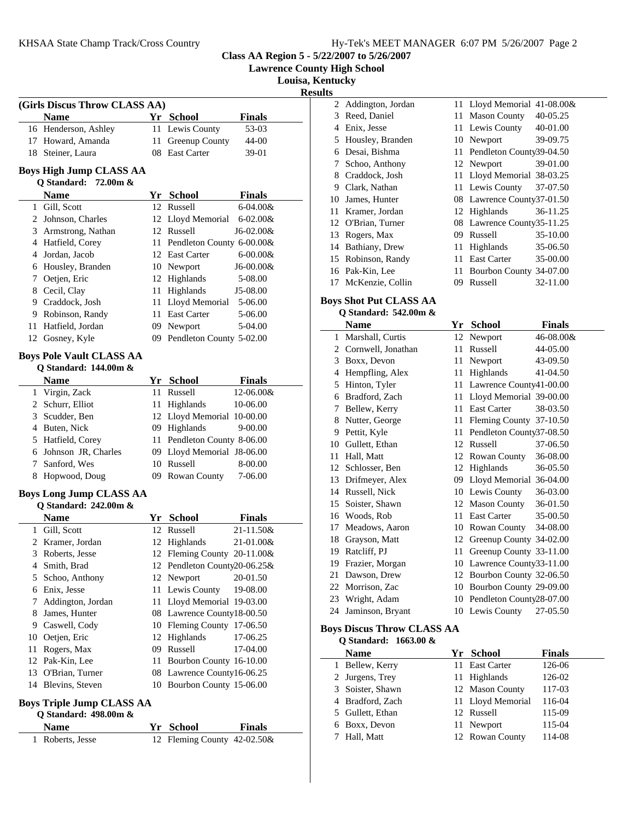|  | Hy-Tek's MEET MANAGER 6:07 PM 5/26/2007 Page 2 |  |  |
|--|------------------------------------------------|--|--|
|  |                                                |  |  |

**Class AA Region 5 - 5/22/2007 to 5/26/2007**

**Lawrence County High School**

**Louisa, Kentucky**

**<u>esults**</u><sub>2</sub>

|    | (Girls Discus Throw CLASS AA)                          |    |                              |               |
|----|--------------------------------------------------------|----|------------------------------|---------------|
|    | <b>Name</b>                                            |    | Yr School                    | <b>Finals</b> |
|    | 16 Henderson, Ashley                                   |    | 11 Lewis County              | 53-03         |
|    | 17 Howard, Amanda                                      | 11 | Greenup County               | 44-00         |
|    | 18 Steiner, Laura                                      | 08 | <b>East Carter</b>           | 39-01         |
|    | <b>Boys High Jump CLASS AA</b><br>Q Standard: 72.00m & |    |                              |               |
|    | <b>Name</b>                                            |    | Yr School                    | <b>Finals</b> |
|    | 1 Gill, Scott                                          |    | 12 Russell                   | $6 - 04.00 &$ |
|    | 2 Johnson, Charles                                     |    | 12 Lloyd Memorial            | $6 - 02.00 &$ |
|    | 3 Armstrong, Nathan                                    |    | 12 Russell                   | J6-02.00&     |
|    | 4 Hatfield, Corey                                      |    | 11 Pendleton County 6-00.00& |               |
|    | 4 Jordan, Jacob                                        |    | 12 East Carter               | $6 - 00.00 &$ |
|    | 6 Housley, Branden                                     |    | 10 Newport                   | J6-00.00&     |
|    | 7 Oetjen, Eric                                         |    | 12 Highlands                 | 5-08.00       |
|    | 8 Cecil, Clay                                          |    | 11 Highlands                 | J5-08.00      |
|    | 9 Craddock, Josh                                       |    | 11 Lloyd Memorial 5-06.00    |               |
|    | 9 Robinson, Randy                                      |    | 11 East Carter               | 5-06.00       |
|    | 11 Hatfield, Jordan                                    |    | 09 Newport                   | 5-04.00       |
|    | 12 Gosney, Kyle                                        |    | 09 Pendleton County 5-02.00  |               |
|    | <b>Boys Pole Vault CLASS AA</b>                        |    |                              |               |
|    | Q Standard: 144.00m &                                  |    |                              |               |
|    | <b>Name</b>                                            |    | Yr School                    | <b>Finals</b> |
|    | 1 Virgin, Zack                                         | 11 | Russell                      | 12-06.00&     |
|    | 2 Schurr, Elliot                                       |    | 11 Highlands                 | 10-06.00      |
|    | 3 Scudder, Ben                                         |    | 12 Lloyd Memorial 10-00.00   |               |
|    | 4 Buten, Nick                                          |    | 09 Highlands                 | 9-00.00       |
|    | 5 Hatfield, Corey                                      |    | 11 Pendleton County 8-06.00  |               |
|    | 6 Johnson JR, Charles                                  |    | 09 Lloyd Memorial J8-06.00   |               |
|    | 7 Sanford, Wes                                         |    | 10 Russell                   | 8-00.00       |
|    | 8 Hopwood, Doug                                        |    | 09 Rowan County              | 7-06.00       |
|    | <b>Boys Long Jump CLASS AA</b>                         |    |                              |               |
|    | <b>Q</b> Standard: 242.00m &                           |    |                              |               |
|    | Name                                                   |    | Yr School                    | <b>Finals</b> |
|    | 1 Gill, Scott                                          |    | 12 Russell                   | 21-11.50&     |
|    | 2 Kramer, Jordan                                       | 12 | Highlands                    | 21-01.00&     |
| 3  | Roberts, Jesse                                         |    | 12 Fleming County 20-11.00&  |               |
|    | 4 Smith, Brad                                          |    | 12 Pendleton County20-06.25& |               |
|    | 5 Schoo, Anthony                                       | 12 | Newport                      | 20-01.50      |
|    | 6 Enix, Jesse                                          |    | 11 Lewis County              | 19-08.00      |
|    | 7 Addington, Jordan                                    |    | 11 Lloyd Memorial 19-03.00   |               |
|    | 8 James, Hunter                                        |    | 08 Lawrence County18-00.50   |               |
|    | 9 Caswell, Cody                                        |    | 10 Fleming County 17-06.50   |               |
|    | 10 Oetjen, Eric                                        |    | 12 Highlands                 | 17-06.25      |
| 11 | Rogers, Max                                            |    | 09 Russell                   | 17-04.00      |
|    | 12 Pak-Kin, Lee                                        |    | 11 Bourbon County 16-10.00   |               |
|    | 13 O'Brian, Turner                                     |    | 08 Lawrence County16-06.25   |               |
|    | 14 Blevins, Steven                                     |    | 10 Bourbon County 15-06.00   |               |
|    | <b>Boys Triple Jump CLASS AA</b>                       |    |                              |               |
|    | Q Standard: 498.00m &                                  |    |                              |               |
|    | Name                                                   |    | Yr School                    | Finals        |
| 1  | Roberts, Jesse                                         | 12 | Fleming County 42-02.50&     |               |

| S  |                     |    |                             |          |
|----|---------------------|----|-----------------------------|----------|
|    | 2 Addington, Jordan |    | 11 Lloyd Memorial 41-08.00& |          |
| 3  | Reed, Daniel        | 11 | <b>Mason County</b>         | 40-05.25 |
| 4  | Enix, Jesse         |    | 11 Lewis County             | 40-01.00 |
| 5  | Housley, Branden    | 10 | Newport                     | 39-09.75 |
| 6  | Desai, Bishma       |    | 11 Pendleton County39-04.50 |          |
| 7  | Schoo, Anthony      |    | 12 Newport                  | 39-01.00 |
| 8  | Craddock, Josh      |    | 11 Lloyd Memorial 38-03.25  |          |
| 9  | Clark, Nathan       |    | 11 Lewis County             | 37-07.50 |
| 10 | James, Hunter       |    | 08 Lawrence County37-01.50  |          |
| 11 | Kramer, Jordan      | 12 | Highlands                   | 36-11.25 |
|    | 12 O'Brian, Turner  |    | 08 Lawrence County35-11.25  |          |
| 13 | Rogers, Max         | 09 | Russell                     | 35-10.00 |
|    | 14 Bathiany, Drew   | 11 | Highlands                   | 35-06.50 |
|    | 15 Robinson, Randy  | 11 | East Carter                 | 35-00.00 |
|    | 16 Pak-Kin, Lee     | 11 | Bourbon County 34-07.00     |          |
|    | 17 McKenzie, Collin | 09 | Russell                     | 32-11.00 |
|    |                     |    |                             |          |

#### **Boys Shot Put CLASS AA Q Standard: 542.00m &**

|    | Name               | Yr | <b>School</b>            | <b>Finals</b> |
|----|--------------------|----|--------------------------|---------------|
| 1  | Marshall, Curtis   | 12 | Newport                  | 46-08.00&     |
| 2  | Cornwell, Jonathan | 11 | Russell                  | 44-05.00      |
| 3  | Boxx, Devon        | 11 | Newport                  | 43-09.50      |
| 4  | Hempfling, Alex    | 11 | <b>Highlands</b>         | 41-04.50      |
| 5  | Hinton, Tyler      | 11 | Lawrence County41-00.00  |               |
| 6  | Bradford, Zach     | 11 | Lloyd Memorial 39-00.00  |               |
| 7  | Bellew, Kerry      | 11 | <b>East Carter</b>       | 38-03.50      |
| 8  | Nutter, George     | 11 | Fleming County 37-10.50  |               |
| 9  | Pettit, Kyle       | 11 | Pendleton County37-08.50 |               |
| 10 | Gullett, Ethan     | 12 | Russell                  | 37-06.50      |
| 11 | Hall, Matt         | 12 | Rowan County             | 36-08.00      |
| 12 | Schlosser, Ben     | 12 | Highlands                | 36-05.50      |
| 13 | Drifmeyer, Alex    | 09 | Lloyd Memorial 36-04.00  |               |
| 14 | Russell, Nick      | 10 | Lewis County             | 36-03.00      |
| 15 | Soister, Shawn     | 12 | <b>Mason County</b>      | 36-01.50      |
| 16 | Woods, Rob         | 11 | <b>East Carter</b>       | 35-00.50      |
| 17 | Meadows, Aaron     | 10 | Rowan County             | 34-08.00      |
| 18 | Grayson, Matt      | 12 | Greenup County 34-02.00  |               |
| 19 | Ratcliff, PJ       | 11 | Greenup County 33-11.00  |               |
| 19 | Frazier, Morgan    | 10 | Lawrence County33-11.00  |               |
| 21 | Dawson, Drew       | 12 | Bourbon County 32-06.50  |               |
| 22 | Morrison, Zac      | 10 | Bourbon County 29-09.00  |               |
| 23 | Wright, Adam       | 10 | Pendleton County28-07.00 |               |
| 24 | Jaminson, Bryant   |    | 10 Lewis County          | 27-05.50      |
|    |                    |    |                          |               |

## **Boys Discus Throw CLASS AA**

| O Standard: $1663.00 \&$ |  |                   |               |
|--------------------------|--|-------------------|---------------|
| <b>Name</b>              |  | Yr School         | <b>Finals</b> |
| Bellew, Kerry<br>1.      |  | 11 East Carter    | 126-06        |
| 2 Jurgens, Trey          |  | 11 Highlands      | 126-02        |
| 3 Soister, Shawn         |  | 12 Mason County   | 117-03        |
| 4 Bradford, Zach         |  | 11 Lloyd Memorial | 116-04        |
| 5 Gullett, Ethan         |  | 12 Russell        | 115-09        |
| 6 Boxx, Devon            |  | 11 Newport        | 115-04        |
| Hall, Matt               |  | 12 Rowan County   | 114-08        |